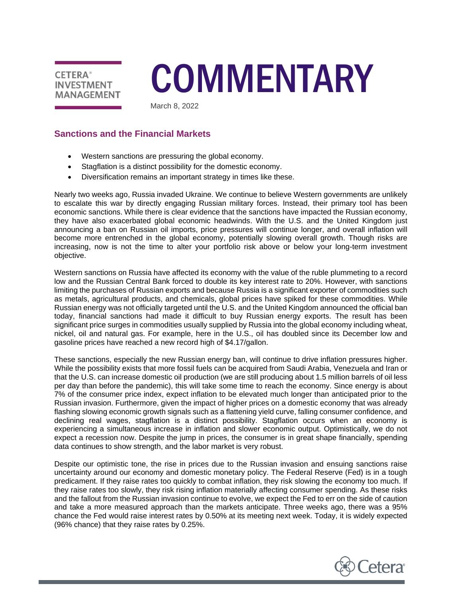

# **COMMENTARY**

March 8, 2022

# **Sanctions and the Financial Markets**

- Western sanctions are pressuring the global economy.
- Stagflation is a distinct possibility for the domestic economy.
- Diversification remains an important strategy in times like these.

Nearly two weeks ago, Russia invaded Ukraine. We continue to believe Western governments are unlikely to escalate this war by directly engaging Russian military forces. Instead, their primary tool has been economic sanctions. While there is clear evidence that the sanctions have impacted the Russian economy, they have also exacerbated global economic headwinds. With the U.S. and the United Kingdom just announcing a ban on Russian oil imports, price pressures will continue longer, and overall inflation will become more entrenched in the global economy, potentially slowing overall growth. Though risks are increasing, now is not the time to alter your portfolio risk above or below your long-term investment objective.

Western sanctions on Russia have affected its economy with the value of the ruble plummeting to a record low and the Russian Central Bank forced to double its key interest rate to 20%. However, with sanctions limiting the purchases of Russian exports and because Russia is a significant exporter of commodities such as metals, agricultural products, and chemicals, global prices have spiked for these commodities. While Russian energy was not officially targeted until the U.S. and the United Kingdom announced the official ban today, financial sanctions had made it difficult to buy Russian energy exports. The result has been significant price surges in commodities usually supplied by Russia into the global economy including wheat, nickel, oil and natural gas. For example, here in the U.S., oil has doubled since its December low and gasoline prices have reached a new record high of \$4.17/gallon.

These sanctions, especially the new Russian energy ban, will continue to drive inflation pressures higher. While the possibility exists that more fossil fuels can be acquired from Saudi Arabia, Venezuela and Iran or that the U.S. can increase domestic oil production (we are still producing about 1.5 million barrels of oil less per day than before the pandemic), this will take some time to reach the economy. Since energy is about 7% of the consumer price index, expect inflation to be elevated much longer than anticipated prior to the Russian invasion. Furthermore, given the impact of higher prices on a domestic economy that was already flashing slowing economic growth signals such as a flattening yield curve, falling consumer confidence, and declining real wages, stagflation is a distinct possibility. Stagflation occurs when an economy is experiencing a simultaneous increase in inflation and slower economic output. Optimistically, we do not expect a recession now. Despite the jump in prices, the consumer is in great shape financially, spending data continues to show strength, and the labor market is very robust.

Despite our optimistic tone, the rise in prices due to the Russian invasion and ensuing sanctions raise uncertainty around our economy and domestic monetary policy. The Federal Reserve (Fed) is in a tough predicament. If they raise rates too quickly to combat inflation, they risk slowing the economy too much. If they raise rates too slowly, they risk rising inflation materially affecting consumer spending. As these risks and the fallout from the Russian invasion continue to evolve, we expect the Fed to err on the side of caution and take a more measured approach than the markets anticipate. Three weeks ago, there was a 95% chance the Fed would raise interest rates by 0.50% at its meeting next week. Today, it is widely expected (96% chance) that they raise rates by 0.25%.

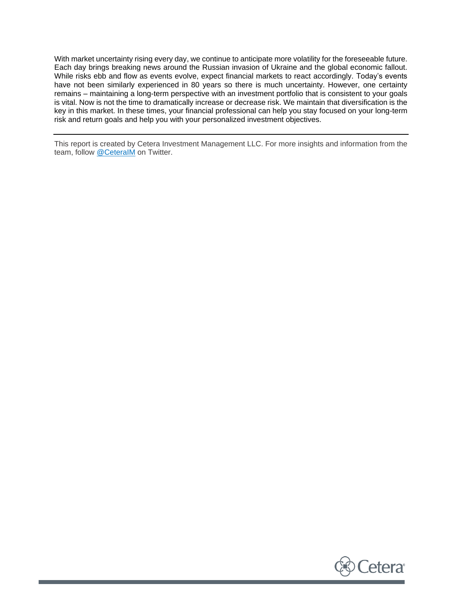With market uncertainty rising every day, we continue to anticipate more volatility for the foreseeable future. Each day brings breaking news around the Russian invasion of Ukraine and the global economic fallout. While risks ebb and flow as events evolve, expect financial markets to react accordingly. Today's events have not been similarly experienced in 80 years so there is much uncertainty. However, one certainty remains – maintaining a long-term perspective with an investment portfolio that is consistent to your goals is vital. Now is not the time to dramatically increase or decrease risk. We maintain that diversification is the key in this market. In these times, your financial professional can help you stay focused on your long-term risk and return goals and help you with your personalized investment objectives.

This report is created by Cetera Investment Management LLC. For more insights and information from the team, follow [@CeteraIM](https://twitter.com/ceteraim?lang=en) on Twitter.